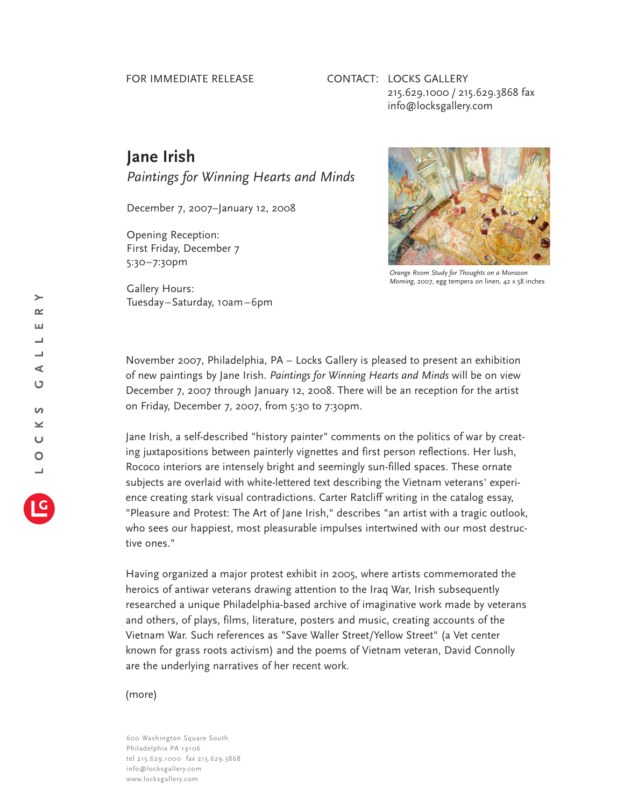## FOR IMMEDIATE RELEASE

## CONTACT: LOCKS GALLERY 215.629.1000 / 215.629.3868 fax info@locksgallery.com

## **Jane Irish**

*Paintings for Winning Hearts and Minds*

December 7, 2007–January 12, 2008

Opening Reception: First Friday, December 7 5:30–7:30pm

Gallery Hours: Tuesday–Saturday, 10am–6pm



*Orange Room Study for Thoughts on a Monsoon Morning*, 2007, egg tempera on linen, 42 x 58 inches

November 2007, Philadelphia, PA – Locks Gallery is pleased to present an exhibition of new paintings by Jane Irish. *Paintings for Winning Hearts and Minds* will be on view December 7, 2007 through January 12, 2008. There will be an reception for the artist on Friday, December 7, 2007, from 5:30 to 7:30pm.

Jane Irish, a self-described "history painter" comments on the politics of war by creating juxtapositions between painterly vignettes and first person reflections. Her lush, Rococo interiors are intensely bright and seemingly sun-filled spaces. These ornate subjects are overlaid with white-lettered text describing the Vietnam veterans' experience creating stark visual contradictions. Carter Ratcliff writing in the catalog essay, "Pleasure and Protest: The Art of Jane Irish," describes "an artist with a tragic outlook, who sees our happiest, most pleasurable impulses intertwined with our most destructive ones."

Having organized a major protest exhibit in 2005, where artists commemorated the heroics of antiwar veterans drawing attention to the Iraq War, Irish subsequently researched a unique Philadelphia-based archive of imaginative work made by veterans and others, of plays, films, literature, posters and music, creating accounts of the Vietnam War. Such references as "Save Waller Street/Yellow Street" (a Vet center known for grass roots activism) and the poems of Vietnam veteran, David Connolly are the underlying narratives of her recent work.

## (more)

600 Washington Square South Philadelphia PA 19106 tel 215.629.1000 fax 215.629.3868 info@locksgallery.com www.locksgallery.com